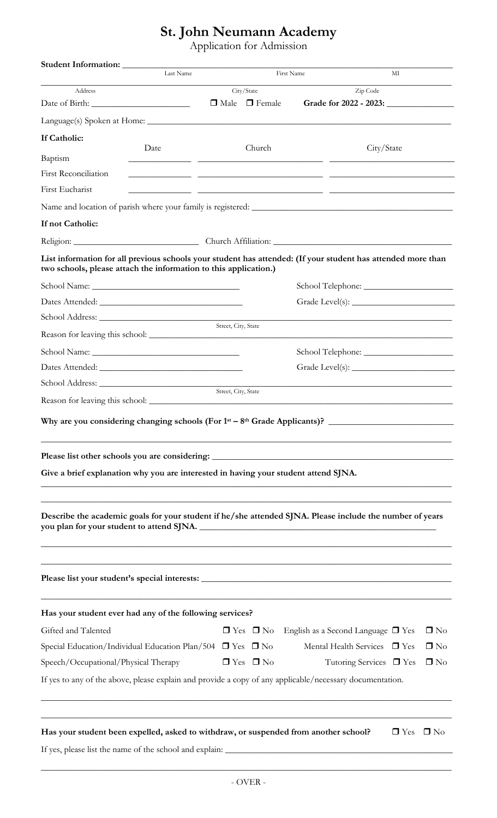## **St. John Neumann Academy**

Application for Admission

| Address<br>If Catholic:<br>Date<br>Baptism<br><b>First Reconciliation</b><br>First Eucharist<br>If not Catholic:<br>List information for all previous schools your student has attended: (If your student has attended more than<br>two schools, please attach the information to this application.)<br>Why are you considering changing schools (For $1st - 8th$ Grade Applicants)?<br>Please list other schools you are considering: __________________________________<br>Give a brief explanation why you are interested in having your student attend SJNA. | City/State<br>Street, City, State | $\Box$ Male $\Box$ Female<br>Church | Zip Code<br>Grade for 2022 - 2023:<br>City/State |            |           |
|------------------------------------------------------------------------------------------------------------------------------------------------------------------------------------------------------------------------------------------------------------------------------------------------------------------------------------------------------------------------------------------------------------------------------------------------------------------------------------------------------------------------------------------------------------------|-----------------------------------|-------------------------------------|--------------------------------------------------|------------|-----------|
|                                                                                                                                                                                                                                                                                                                                                                                                                                                                                                                                                                  |                                   |                                     |                                                  |            |           |
|                                                                                                                                                                                                                                                                                                                                                                                                                                                                                                                                                                  |                                   |                                     |                                                  |            |           |
|                                                                                                                                                                                                                                                                                                                                                                                                                                                                                                                                                                  |                                   |                                     |                                                  |            |           |
|                                                                                                                                                                                                                                                                                                                                                                                                                                                                                                                                                                  |                                   |                                     |                                                  |            |           |
|                                                                                                                                                                                                                                                                                                                                                                                                                                                                                                                                                                  |                                   |                                     |                                                  |            |           |
|                                                                                                                                                                                                                                                                                                                                                                                                                                                                                                                                                                  |                                   |                                     |                                                  |            |           |
|                                                                                                                                                                                                                                                                                                                                                                                                                                                                                                                                                                  |                                   |                                     |                                                  |            |           |
|                                                                                                                                                                                                                                                                                                                                                                                                                                                                                                                                                                  |                                   |                                     |                                                  |            |           |
|                                                                                                                                                                                                                                                                                                                                                                                                                                                                                                                                                                  |                                   |                                     |                                                  |            |           |
|                                                                                                                                                                                                                                                                                                                                                                                                                                                                                                                                                                  |                                   |                                     |                                                  |            |           |
|                                                                                                                                                                                                                                                                                                                                                                                                                                                                                                                                                                  |                                   |                                     |                                                  |            |           |
|                                                                                                                                                                                                                                                                                                                                                                                                                                                                                                                                                                  |                                   |                                     |                                                  |            |           |
|                                                                                                                                                                                                                                                                                                                                                                                                                                                                                                                                                                  |                                   |                                     |                                                  |            |           |
|                                                                                                                                                                                                                                                                                                                                                                                                                                                                                                                                                                  |                                   |                                     |                                                  |            |           |
|                                                                                                                                                                                                                                                                                                                                                                                                                                                                                                                                                                  |                                   |                                     |                                                  |            |           |
|                                                                                                                                                                                                                                                                                                                                                                                                                                                                                                                                                                  |                                   |                                     |                                                  |            |           |
|                                                                                                                                                                                                                                                                                                                                                                                                                                                                                                                                                                  |                                   |                                     |                                                  |            |           |
|                                                                                                                                                                                                                                                                                                                                                                                                                                                                                                                                                                  |                                   |                                     |                                                  |            |           |
|                                                                                                                                                                                                                                                                                                                                                                                                                                                                                                                                                                  |                                   |                                     |                                                  |            |           |
|                                                                                                                                                                                                                                                                                                                                                                                                                                                                                                                                                                  | Street, City, State               |                                     |                                                  |            |           |
|                                                                                                                                                                                                                                                                                                                                                                                                                                                                                                                                                                  |                                   |                                     |                                                  |            |           |
|                                                                                                                                                                                                                                                                                                                                                                                                                                                                                                                                                                  |                                   |                                     |                                                  |            |           |
| Describe the academic goals for your student if he/she attended SJNA. Please include the number of years                                                                                                                                                                                                                                                                                                                                                                                                                                                         |                                   |                                     |                                                  |            |           |
|                                                                                                                                                                                                                                                                                                                                                                                                                                                                                                                                                                  |                                   |                                     |                                                  |            |           |
| Has your student ever had any of the following services?                                                                                                                                                                                                                                                                                                                                                                                                                                                                                                         |                                   |                                     |                                                  |            |           |
| Gifted and Talented                                                                                                                                                                                                                                                                                                                                                                                                                                                                                                                                              |                                   | $\Box$ Yes $\Box$ No                | English as a Second Language $\Box$ Yes          |            | $\Box$ No |
| Special Education/Individual Education Plan/504 $\Box$ Yes $\Box$ No                                                                                                                                                                                                                                                                                                                                                                                                                                                                                             |                                   |                                     | Mental Health Services T Yes                     |            | $\Box$ No |
| Speech/Occupational/Physical Therapy                                                                                                                                                                                                                                                                                                                                                                                                                                                                                                                             |                                   | $\Box$ Yes $\Box$ No                | Tutoring Services $\Box$ Yes                     |            | $\Box$ No |
| If yes to any of the above, please explain and provide a copy of any applicable/necessary documentation.                                                                                                                                                                                                                                                                                                                                                                                                                                                         |                                   |                                     |                                                  |            |           |
|                                                                                                                                                                                                                                                                                                                                                                                                                                                                                                                                                                  |                                   |                                     |                                                  |            |           |
| Has your student been expelled, asked to withdraw, or suspended from another school?                                                                                                                                                                                                                                                                                                                                                                                                                                                                             |                                   |                                     |                                                  | $\Box$ Yes | $\Box$ No |